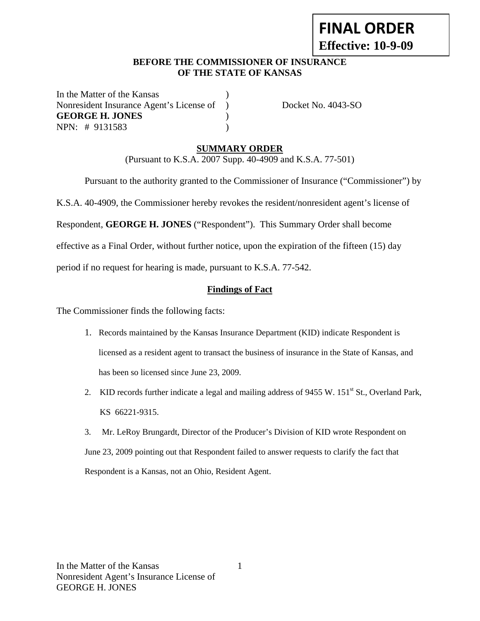# **FINAL ORDER Effective: 10-9-09**

#### **BEFORE THE COMMISSIONER OF INSURANCE OF THE STATE OF KANSAS**

In the Matter of the Kansas Nonresident Insurance Agent's License of ) Docket No. 4043-SO **GEORGE H. JONES** ) NPN: # 9131583 )

### **SUMMARY ORDER**

(Pursuant to K.S.A. 2007 Supp. 40-4909 and K.S.A. 77-501)

Pursuant to the authority granted to the Commissioner of Insurance ("Commissioner") by

K.S.A. 40-4909, the Commissioner hereby revokes the resident/nonresident agent's license of

Respondent, **GEORGE H. JONES** ("Respondent"). This Summary Order shall become

effective as a Final Order, without further notice, upon the expiration of the fifteen (15) day

period if no request for hearing is made, pursuant to K.S.A. 77-542.

#### **Findings of Fact**

The Commissioner finds the following facts:

- 1. Records maintained by the Kansas Insurance Department (KID) indicate Respondent is licensed as a resident agent to transact the business of insurance in the State of Kansas, and has been so licensed since June 23, 2009.
- 2. KID records further indicate a legal and mailing address of 9455 W. 151<sup>st</sup> St., Overland Park, KS 66221-9315.
- 3. Mr. LeRoy Brungardt, Director of the Producer's Division of KID wrote Respondent on June 23, 2009 pointing out that Respondent failed to answer requests to clarify the fact that Respondent is a Kansas, not an Ohio, Resident Agent.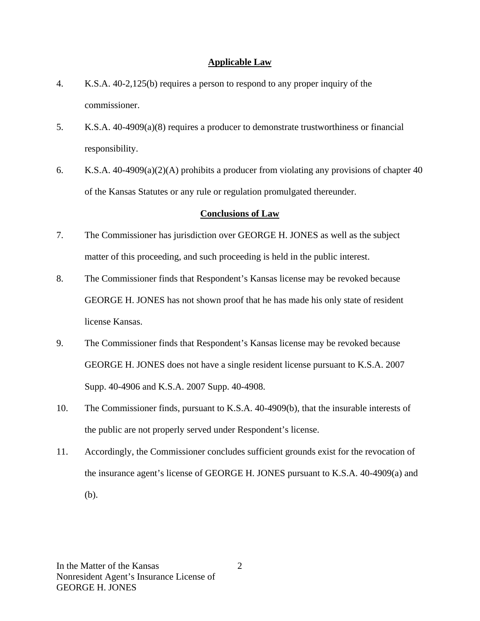#### **Applicable Law**

- 4. K.S.A. 40-2,125(b) requires a person to respond to any proper inquiry of the commissioner.
- 5. K.S.A. 40-4909(a)(8) requires a producer to demonstrate trustworthiness or financial responsibility.
- 6. K.S.A. 40-4909(a)(2)(A) prohibits a producer from violating any provisions of chapter 40 of the Kansas Statutes or any rule or regulation promulgated thereunder.

## **Conclusions of Law**

- 7. The Commissioner has jurisdiction over GEORGE H. JONES as well as the subject matter of this proceeding, and such proceeding is held in the public interest.
- 8. The Commissioner finds that Respondent's Kansas license may be revoked because GEORGE H. JONES has not shown proof that he has made his only state of resident license Kansas.
- 9. The Commissioner finds that Respondent's Kansas license may be revoked because GEORGE H. JONES does not have a single resident license pursuant to K.S.A. 2007 Supp. 40-4906 and K.S.A. 2007 Supp. 40-4908.
- 10. The Commissioner finds, pursuant to K.S.A. 40-4909(b), that the insurable interests of the public are not properly served under Respondent's license.
- 11. Accordingly, the Commissioner concludes sufficient grounds exist for the revocation of the insurance agent's license of GEORGE H. JONES pursuant to K.S.A. 40-4909(a) and (b).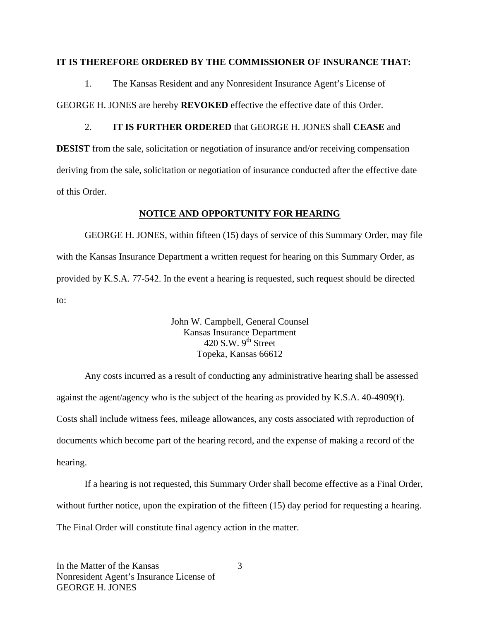#### **IT IS THEREFORE ORDERED BY THE COMMISSIONER OF INSURANCE THAT:**

1. The Kansas Resident and any Nonresident Insurance Agent's License of GEORGE H. JONES are hereby **REVOKED** effective the effective date of this Order.

2. **IT IS FURTHER ORDERED** that GEORGE H. JONES shall **CEASE** and **DESIST** from the sale, solicitation or negotiation of insurance and/or receiving compensation deriving from the sale, solicitation or negotiation of insurance conducted after the effective date of this Order.

#### **NOTICE AND OPPORTUNITY FOR HEARING**

GEORGE H. JONES, within fifteen (15) days of service of this Summary Order, may file with the Kansas Insurance Department a written request for hearing on this Summary Order, as provided by K.S.A. 77-542. In the event a hearing is requested, such request should be directed to:

> John W. Campbell, General Counsel Kansas Insurance Department 420 S.W.  $9<sup>th</sup>$  Street Topeka, Kansas 66612

Any costs incurred as a result of conducting any administrative hearing shall be assessed against the agent/agency who is the subject of the hearing as provided by K.S.A. 40-4909(f). Costs shall include witness fees, mileage allowances, any costs associated with reproduction of documents which become part of the hearing record, and the expense of making a record of the hearing.

If a hearing is not requested, this Summary Order shall become effective as a Final Order, without further notice, upon the expiration of the fifteen (15) day period for requesting a hearing. The Final Order will constitute final agency action in the matter.